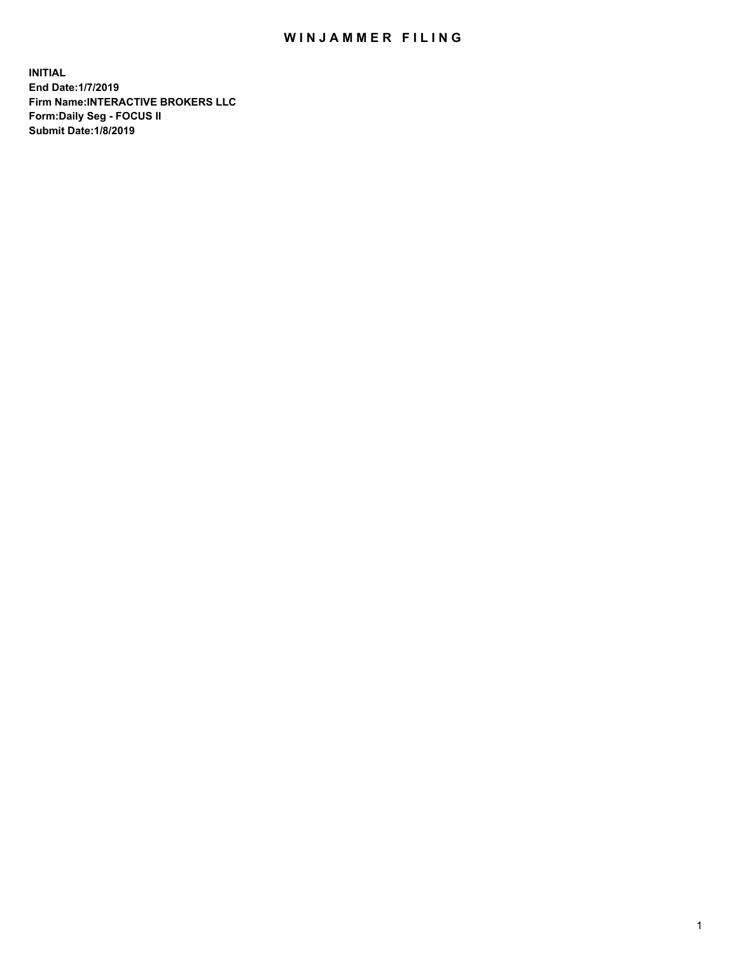## WIN JAMMER FILING

**INITIAL End Date:1/7/2019 Firm Name:INTERACTIVE BROKERS LLC Form:Daily Seg - FOCUS II Submit Date:1/8/2019**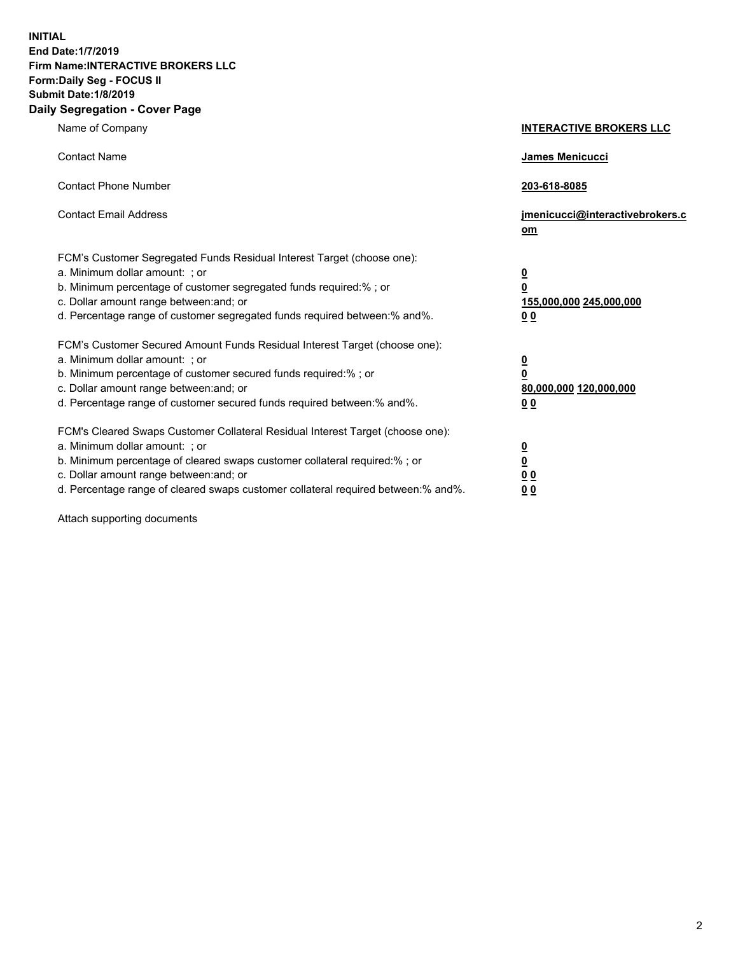**INITIAL End Date:1/7/2019 Firm Name:INTERACTIVE BROKERS LLC Form:Daily Seg - FOCUS II Submit Date:1/8/2019 Daily Segregation - Cover Page**

| Name of Company                                                                                                                                                                                                                                                                                                                | <b>INTERACTIVE BROKERS LLC</b>                                                                  |
|--------------------------------------------------------------------------------------------------------------------------------------------------------------------------------------------------------------------------------------------------------------------------------------------------------------------------------|-------------------------------------------------------------------------------------------------|
| <b>Contact Name</b>                                                                                                                                                                                                                                                                                                            | <b>James Menicucci</b>                                                                          |
| <b>Contact Phone Number</b>                                                                                                                                                                                                                                                                                                    | 203-618-8085                                                                                    |
| <b>Contact Email Address</b>                                                                                                                                                                                                                                                                                                   | jmenicucci@interactivebrokers.c<br>om                                                           |
| FCM's Customer Segregated Funds Residual Interest Target (choose one):<br>a. Minimum dollar amount: ; or<br>b. Minimum percentage of customer segregated funds required:% ; or<br>c. Dollar amount range between: and; or<br>d. Percentage range of customer segregated funds required between:% and%.                         | $\overline{\mathbf{0}}$<br>$\overline{\mathbf{0}}$<br>155,000,000 245,000,000<br>0 <sub>0</sub> |
| FCM's Customer Secured Amount Funds Residual Interest Target (choose one):<br>a. Minimum dollar amount: ; or<br>b. Minimum percentage of customer secured funds required:%; or<br>c. Dollar amount range between: and; or<br>d. Percentage range of customer secured funds required between:% and%.                            | $\overline{\mathbf{0}}$<br>$\mathbf 0$<br>80,000,000 120,000,000<br>0 <sub>0</sub>              |
| FCM's Cleared Swaps Customer Collateral Residual Interest Target (choose one):<br>a. Minimum dollar amount: ; or<br>b. Minimum percentage of cleared swaps customer collateral required:% ; or<br>c. Dollar amount range between: and; or<br>d. Percentage range of cleared swaps customer collateral required between:% and%. | $\overline{\mathbf{0}}$<br>$\underline{\mathbf{0}}$<br>0 <sub>0</sub><br>00                     |

Attach supporting documents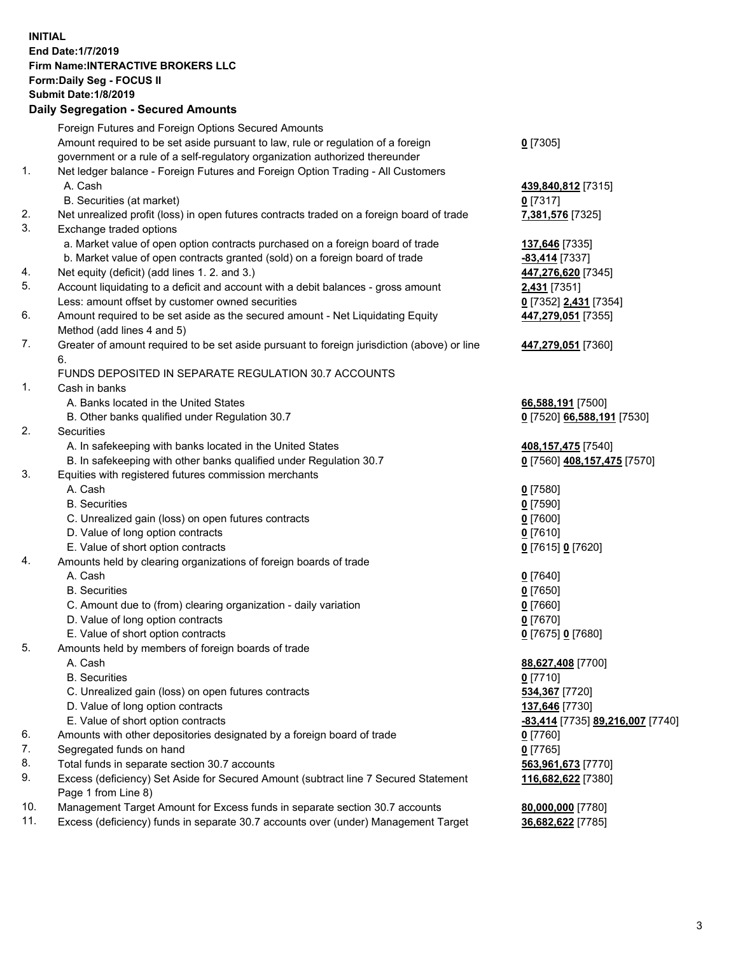## **INITIAL End Date:1/7/2019 Firm Name:INTERACTIVE BROKERS LLC Form:Daily Seg - FOCUS II Submit Date:1/8/2019 Daily Segregation - Secured Amounts**

|     | 2011, Ocgi ogation - Oceaned Anioanita                                                      |                                  |
|-----|---------------------------------------------------------------------------------------------|----------------------------------|
|     | Foreign Futures and Foreign Options Secured Amounts                                         |                                  |
|     | Amount required to be set aside pursuant to law, rule or regulation of a foreign            | $0$ [7305]                       |
|     | government or a rule of a self-regulatory organization authorized thereunder                |                                  |
| 1.  | Net ledger balance - Foreign Futures and Foreign Option Trading - All Customers             |                                  |
|     | A. Cash                                                                                     | 439,840,812 [7315]               |
|     | B. Securities (at market)                                                                   | $0$ [7317]                       |
| 2.  | Net unrealized profit (loss) in open futures contracts traded on a foreign board of trade   | 7,381,576 [7325]                 |
| 3.  | Exchange traded options                                                                     |                                  |
|     | a. Market value of open option contracts purchased on a foreign board of trade              | 137,646 [7335]                   |
|     | b. Market value of open contracts granted (sold) on a foreign board of trade                | -83,414 [7337]                   |
| 4.  | Net equity (deficit) (add lines 1. 2. and 3.)                                               | 447,276,620 [7345]               |
| 5.  | Account liquidating to a deficit and account with a debit balances - gross amount           | <b>2,431</b> [7351]              |
|     | Less: amount offset by customer owned securities                                            | 0 [7352] 2,431 [7354]            |
| 6.  | Amount required to be set aside as the secured amount - Net Liquidating Equity              | 447,279,051 [7355]               |
|     | Method (add lines 4 and 5)                                                                  |                                  |
| 7.  | Greater of amount required to be set aside pursuant to foreign jurisdiction (above) or line | 447,279,051 [7360]               |
|     | 6.                                                                                          |                                  |
|     | FUNDS DEPOSITED IN SEPARATE REGULATION 30.7 ACCOUNTS                                        |                                  |
| 1.  | Cash in banks                                                                               |                                  |
|     | A. Banks located in the United States                                                       | 66,588,191 [7500]                |
|     | B. Other banks qualified under Regulation 30.7                                              | 0 [7520] 66,588,191 [7530]       |
| 2.  | Securities                                                                                  |                                  |
|     | A. In safekeeping with banks located in the United States                                   | 408,157,475 [7540]               |
|     | B. In safekeeping with other banks qualified under Regulation 30.7                          | 0 [7560] 408,157,475 [7570]      |
| 3.  | Equities with registered futures commission merchants                                       |                                  |
|     | A. Cash                                                                                     | $0$ [7580]                       |
|     | <b>B.</b> Securities                                                                        | $0$ [7590]                       |
|     | C. Unrealized gain (loss) on open futures contracts                                         | $0$ [7600]                       |
|     | D. Value of long option contracts                                                           | $0$ [7610]                       |
|     | E. Value of short option contracts                                                          | 0 [7615] 0 [7620]                |
| 4.  | Amounts held by clearing organizations of foreign boards of trade                           |                                  |
|     | A. Cash                                                                                     | $0$ [7640]                       |
|     | <b>B.</b> Securities                                                                        | $0$ [7650]                       |
|     | C. Amount due to (from) clearing organization - daily variation                             | $0$ [7660]                       |
|     | D. Value of long option contracts                                                           | $0$ [7670]                       |
|     | E. Value of short option contracts                                                          | 0 [7675] 0 [7680]                |
| 5.  | Amounts held by members of foreign boards of trade                                          |                                  |
|     | A. Cash                                                                                     | 88,627,408 [7700]                |
|     | <b>B.</b> Securities                                                                        | $0$ [7710]                       |
|     | C. Unrealized gain (loss) on open futures contracts                                         | 534,367 [7720]                   |
|     | D. Value of long option contracts                                                           | 137,646 [7730]                   |
|     | E. Value of short option contracts                                                          | -83,414 [7735] 89,216,007 [7740] |
| 6.  | Amounts with other depositories designated by a foreign board of trade                      | $0$ [7760]                       |
| 7.  | Segregated funds on hand                                                                    | $0$ [7765]                       |
| 8.  | Total funds in separate section 30.7 accounts                                               | 563,961,673 [7770]               |
| 9.  | Excess (deficiency) Set Aside for Secured Amount (subtract line 7 Secured Statement         | 116,682,622 [7380]               |
|     | Page 1 from Line 8)                                                                         |                                  |
| 10. | Management Target Amount for Excess funds in separate section 30.7 accounts                 | 80,000,000 [7780]                |
| 11. | Excess (deficiency) funds in separate 30.7 accounts over (under) Management Target          | 36,682,622 [7785]                |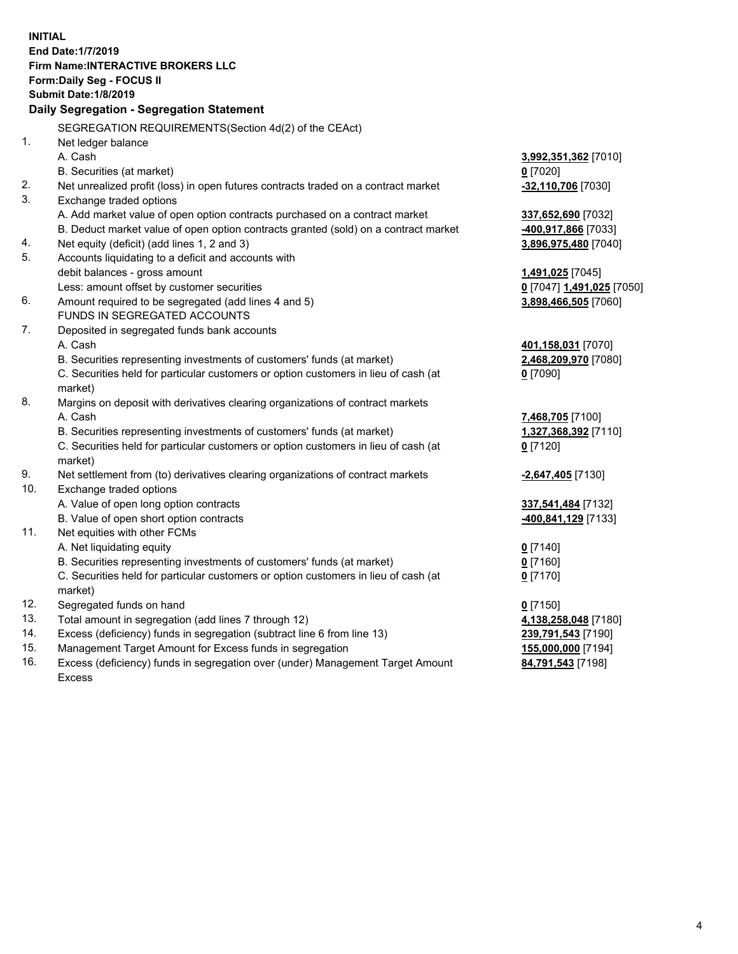**INITIAL End Date:1/7/2019 Firm Name:INTERACTIVE BROKERS LLC Form:Daily Seg - FOCUS II Submit Date:1/8/2019 Daily Segregation - Segregation Statement** SEGREGATION REQUIREMENTS(Section 4d(2) of the CEAct) 1. Net ledger balance A. Cash **3,992,351,362** [7010] B. Securities (at market) **0** [7020] 2. Net unrealized profit (loss) in open futures contracts traded on a contract market **-32,110,706** [7030] 3. Exchange traded options A. Add market value of open option contracts purchased on a contract market **337,652,690** [7032] B. Deduct market value of open option contracts granted (sold) on a contract market **-400,917,866** [7033] 4. Net equity (deficit) (add lines 1, 2 and 3) **3,896,975,480** [7040] 5. Accounts liquidating to a deficit and accounts with debit balances - gross amount **1,491,025** [7045] Less: amount offset by customer securities **0** [7047] **1,491,025** [7050] 6. Amount required to be segregated (add lines 4 and 5) **3,898,466,505** [7060] FUNDS IN SEGREGATED ACCOUNTS 7. Deposited in segregated funds bank accounts A. Cash **401,158,031** [7070] B. Securities representing investments of customers' funds (at market) **2,468,209,970** [7080] C. Securities held for particular customers or option customers in lieu of cash (at market) **0** [7090] 8. Margins on deposit with derivatives clearing organizations of contract markets A. Cash **7,468,705** [7100] B. Securities representing investments of customers' funds (at market) **1,327,368,392** [7110] C. Securities held for particular customers or option customers in lieu of cash (at market) **0** [7120] 9. Net settlement from (to) derivatives clearing organizations of contract markets **-2,647,405** [7130] 10. Exchange traded options A. Value of open long option contracts **337,541,484** [7132] B. Value of open short option contracts **-400,841,129** [7133] 11. Net equities with other FCMs A. Net liquidating equity **0** [7140] B. Securities representing investments of customers' funds (at market) **0** [7160] C. Securities held for particular customers or option customers in lieu of cash (at market) **0** [7170] 12. Segregated funds on hand **0** [7150] 13. Total amount in segregation (add lines 7 through 12) **4,138,258,048** [7180] 14. Excess (deficiency) funds in segregation (subtract line 6 from line 13) **239,791,543** [7190] 15. Management Target Amount for Excess funds in segregation **155,000,000** [7194] **84,791,543** [7198]

16. Excess (deficiency) funds in segregation over (under) Management Target Amount Excess